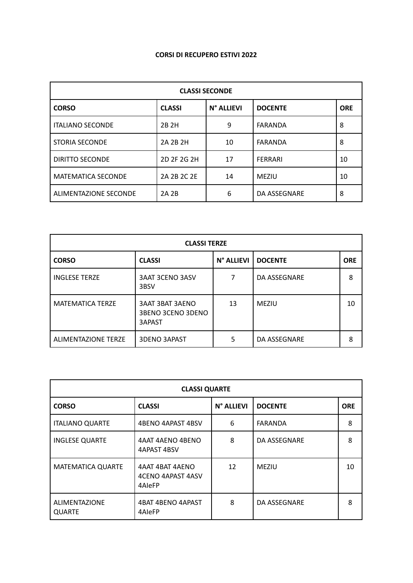## **CORSI DI RECUPERO ESTIVI 2022**

| <b>CLASSI SECONDE</b>        |               |            |                |            |  |  |
|------------------------------|---------------|------------|----------------|------------|--|--|
| <b>CORSO</b>                 | <b>CLASSI</b> | N° ALLIEVI | <b>DOCENTE</b> | <b>ORE</b> |  |  |
| <b>ITALIANO SECONDE</b>      | 2B 2H         | 9          | FARANDA        | 8          |  |  |
| STORIA SECONDE               | 2A 2B 2H      | 10         | FARANDA        | 8          |  |  |
| <b>DIRITTO SECONDE</b>       | 2D 2F 2G 2H   | 17         | <b>FERRARI</b> | 10         |  |  |
| <b>MATEMATICA SECONDE</b>    | 2A 2B 2C 2E   | 14         | <b>MEZIU</b>   | 10         |  |  |
| <b>ALIMENTAZIONE SECONDE</b> | 2A 2B         | 6          | DA ASSEGNARE   | 8          |  |  |

| <b>CLASSI TERZE</b>        |                                                              |            |                |            |  |  |
|----------------------------|--------------------------------------------------------------|------------|----------------|------------|--|--|
| <b>CORSO</b>               | <b>CLASSI</b>                                                | N° ALLIEVI | <b>DOCENTE</b> | <b>ORE</b> |  |  |
| <b>INGLESE TERZE</b>       | <b>3AAT 3CENO 3ASV</b><br>3BSV                               | 7          | DA ASSEGNARE   | 8          |  |  |
| <b>MATEMATICA TERZE</b>    | <b>3AAT 3BAT 3AENO</b><br><b>3BENO 3CENO 3DENO</b><br>3APAST | 13         | MEZIU          | 10         |  |  |
| <b>ALIMENTAZIONE TERZE</b> | <b>3DENO 3APAST</b>                                          | 5          | DA ASSEGNARE   | 8          |  |  |

| <b>CLASSI QUARTE</b>                  |                                                       |            |                |            |  |  |
|---------------------------------------|-------------------------------------------------------|------------|----------------|------------|--|--|
| <b>CORSO</b>                          | <b>CLASSI</b>                                         | N° ALLIEVI | <b>DOCENTE</b> | <b>ORE</b> |  |  |
| <b>ITALIANO QUARTE</b>                | 4BENO 4APAST 4BSV                                     | 6          | <b>FARANDA</b> | 8          |  |  |
| <b>INGLESE QUARTE</b>                 | 4AAT 4AENO 4BENO<br>4APAST 4BSV                       | 8          | DA ASSEGNARE   | 8          |  |  |
| <b>MATEMATICA QUARTE</b>              | 4AAT 4BAT 4AENO<br><b>4CENO 4APAST 4ASV</b><br>4AleFP | 12         | <b>MEZIU</b>   | 10         |  |  |
| <b>ALIMENTAZIONE</b><br><b>QUARTE</b> | <b>4BAT 4BENO 4APAST</b><br>4AleFP                    | 8          | DA ASSEGNARE   | 8          |  |  |